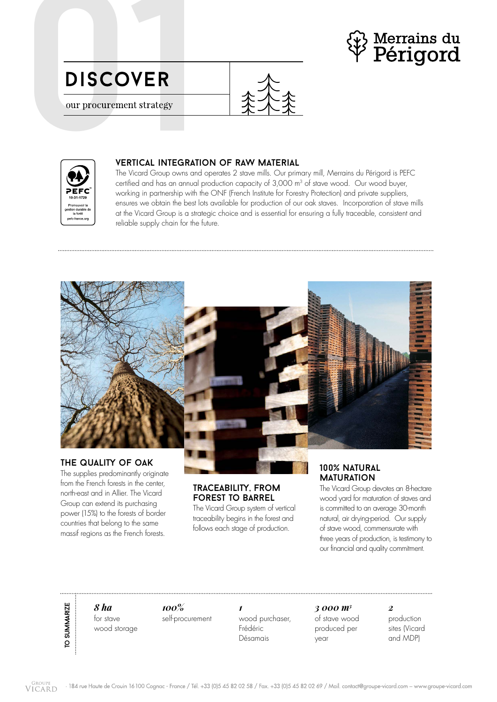

01





## vertical integration of raw material

The Vicard Group owns and operates 2 stave mills. Our primary mill, Merrains du Périgord is PEFC certified and has an annual production capacity of 3,000 m<sup>3</sup> of stave wood. Our wood buyer, working in partnership with the ONF (French Institute for Forestry Protection) and private suppliers, ensures we obtain the best lots available for production of our oak staves. Incorporation of stave mills at the Vicard Group is a strategic choice and is essential for ensuring a fully traceable, consistent and reliable supply chain for the future.



The supplies predominantly originate

from the French forests in the center north-east and in Allier. The Vicard Group can extend its purchasing power (15%) to the forests of border countries that belong to the same massif regions as the French forests.

## traceability, from forest to barrel

The Vicard Group system of vertical traceability begins in the forest and follows each stage of production.

## 100% natural **MATURATION**

The Vicard Group devotes an 8-hectare wood yard for maturation of staves and is committed to an average 30-month natural, air drying-period. Our supply of stave wood, commensurate with three years of production, is testimony to our financial and quality commitment.

*8 ha*  for stave wood storage

to summarize

TO SUMMARIZE

*100%*  self-procurement

*1* wood purchaser, Frédéric Désamais

*3 000 m3* of stave wood produced per year

*2* production sites (Vicard and MDP)